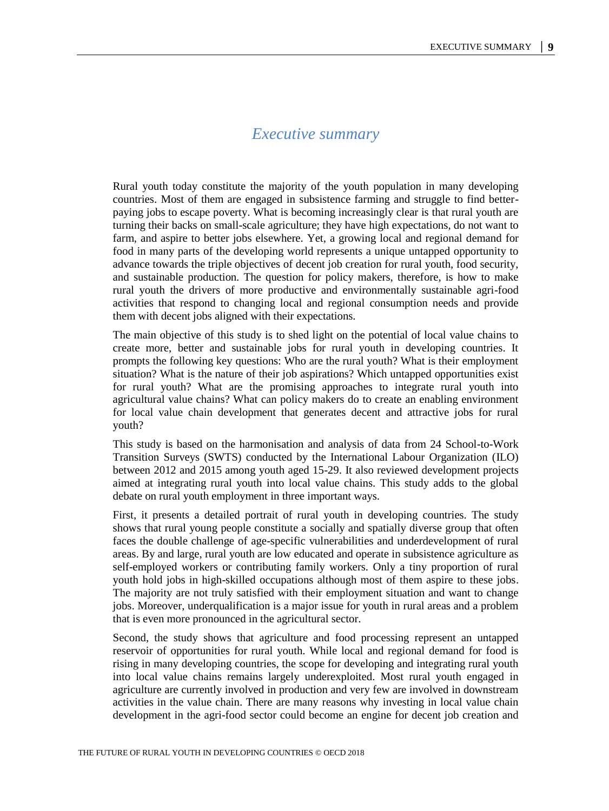## *Executive summary*

Rural youth today constitute the majority of the youth population in many developing countries. Most of them are engaged in subsistence farming and struggle to find betterpaying jobs to escape poverty. What is becoming increasingly clear is that rural youth are turning their backs on small-scale agriculture; they have high expectations, do not want to farm, and aspire to better jobs elsewhere. Yet, a growing local and regional demand for food in many parts of the developing world represents a unique untapped opportunity to advance towards the triple objectives of decent job creation for rural youth, food security, and sustainable production. The question for policy makers, therefore, is how to make rural youth the drivers of more productive and environmentally sustainable agri-food activities that respond to changing local and regional consumption needs and provide them with decent jobs aligned with their expectations.

The main objective of this study is to shed light on the potential of local value chains to create more, better and sustainable jobs for rural youth in developing countries. It prompts the following key questions: Who are the rural youth? What is their employment situation? What is the nature of their job aspirations? Which untapped opportunities exist for rural youth? What are the promising approaches to integrate rural youth into agricultural value chains? What can policy makers do to create an enabling environment for local value chain development that generates decent and attractive jobs for rural youth?

This study is based on the harmonisation and analysis of data from 24 School-to-Work Transition Surveys (SWTS) conducted by the International Labour Organization (ILO) between 2012 and 2015 among youth aged 15-29. It also reviewed development projects aimed at integrating rural youth into local value chains. This study adds to the global debate on rural youth employment in three important ways.

First, it presents a detailed portrait of rural youth in developing countries. The study shows that rural young people constitute a socially and spatially diverse group that often faces the double challenge of age-specific vulnerabilities and underdevelopment of rural areas. By and large, rural youth are low educated and operate in subsistence agriculture as self-employed workers or contributing family workers. Only a tiny proportion of rural youth hold jobs in high-skilled occupations although most of them aspire to these jobs. The majority are not truly satisfied with their employment situation and want to change jobs. Moreover, underqualification is a major issue for youth in rural areas and a problem that is even more pronounced in the agricultural sector.

Second, the study shows that agriculture and food processing represent an untapped reservoir of opportunities for rural youth. While local and regional demand for food is rising in many developing countries, the scope for developing and integrating rural youth into local value chains remains largely underexploited. Most rural youth engaged in agriculture are currently involved in production and very few are involved in downstream activities in the value chain. There are many reasons why investing in local value chain development in the agri-food sector could become an engine for decent job creation and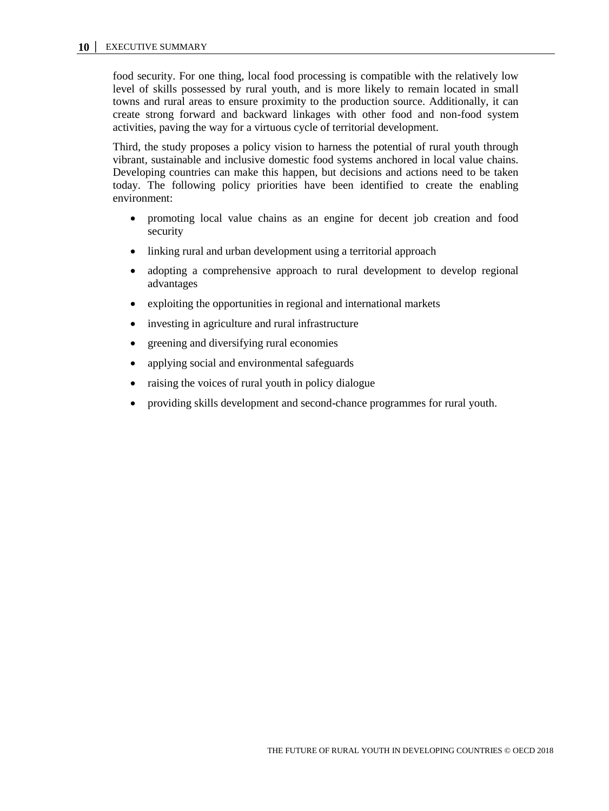food security. For one thing, local food processing is compatible with the relatively low level of skills possessed by rural youth, and is more likely to remain located in small towns and rural areas to ensure proximity to the production source. Additionally, it can create strong forward and backward linkages with other food and non-food system activities, paving the way for a virtuous cycle of territorial development.

Third, the study proposes a policy vision to harness the potential of rural youth through vibrant, sustainable and inclusive domestic food systems anchored in local value chains. Developing countries can make this happen, but decisions and actions need to be taken today. The following policy priorities have been identified to create the enabling environment:

- promoting local value chains as an engine for decent job creation and food security
- linking rural and urban development using a territorial approach
- adopting a comprehensive approach to rural development to develop regional advantages
- exploiting the opportunities in regional and international markets
- investing in agriculture and rural infrastructure
- greening and diversifying rural economies
- applying social and environmental safeguards
- raising the voices of rural youth in policy dialogue
- providing skills development and second-chance programmes for rural youth.